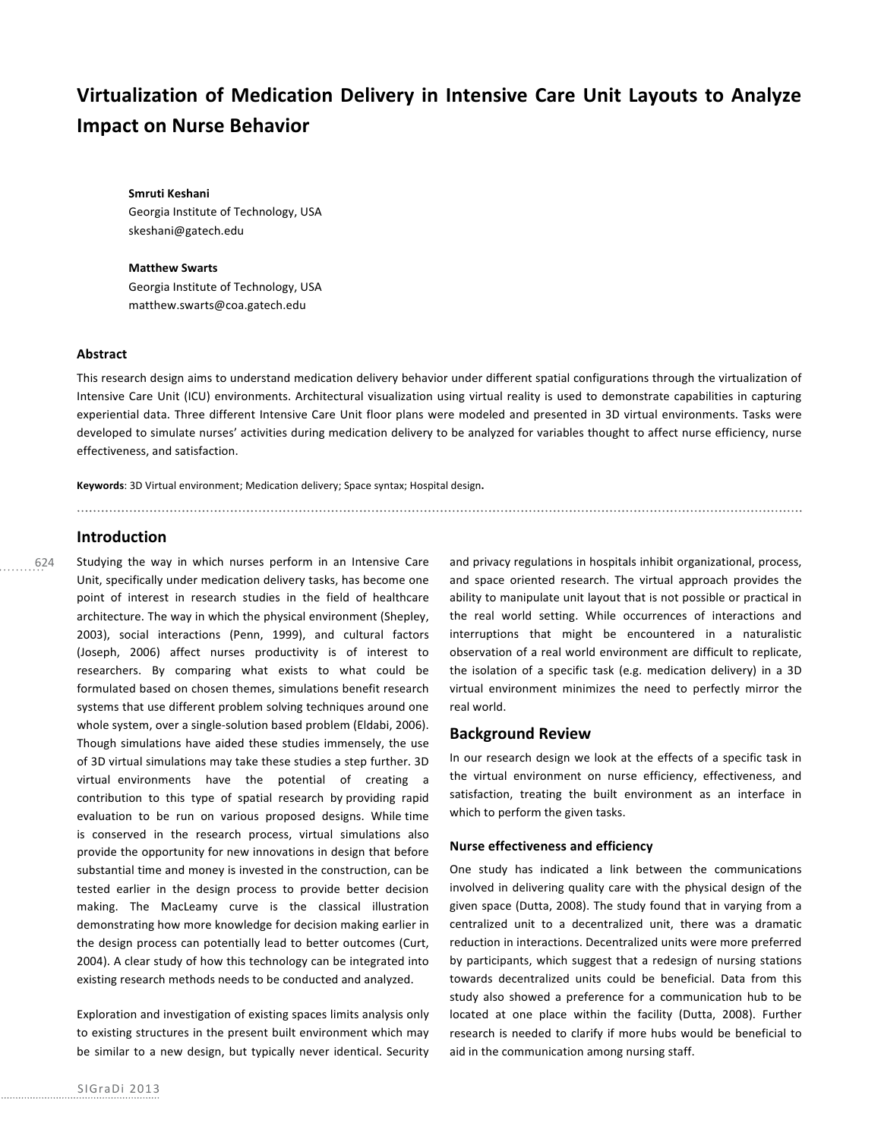# Virtualization of Medication Delivery in Intensive Care Unit Layouts to Analyze **Impact on Nurse Behavior**

#### **Smruti Keshani**

Georgia Institute of Technology, USA skeshani@gatech.edu

#### **Matthew Swarts**

Georgia Institute of Technology, USA matthew.swarts@coa.gatech.edu

# **Abstract**

This research design aims to understand medication delivery behavior under different spatial configurations through the virtualization of Intensive Care Unit (ICU) environments. Architectural visualization using virtual reality is used to demonstrate capabilities in capturing experiential data. Three different Intensive Care Unit floor plans were modeled and presented in 3D virtual environments. Tasks were developed to simulate nurses' activities during medication delivery to be analyzed for variables thought to affect nurse efficiency, nurse effectiveness, and satisfaction.

Keywords: 3D Virtual environment; Medication delivery; Space syntax; Hospital design.

# **Introduction**

624

Studying the way in which nurses perform in an Intensive Care Unit, specifically under medication delivery tasks, has become one point of interest in research studies in the field of healthcare architecture. The way in which the physical environment (Shepley, 2003), social interactions (Penn, 1999), and cultural factors (Joseph, 2006) affect nurses productivity is of interest to researchers. By comparing what exists to what could be formulated based on chosen themes, simulations benefit research systems that use different problem solving techniques around one whole system, over a single-solution based problem (Eldabi, 2006). Though simulations have aided these studies immensely, the use of 3D virtual simulations may take these studies a step further. 3D virtual environments have the potential of creating a contribution to this type of spatial research by providing rapid evaluation to be run on various proposed designs. While time is conserved in the research process, virtual simulations also provide the opportunity for new innovations in design that before substantial time and money is invested in the construction, can be tested earlier in the design process to provide better decision making. The MacLeamy curve is the classical illustration demonstrating how more knowledge for decision making earlier in the design process can potentially lead to better outcomes (Curt, 2004). A clear study of how this technology can be integrated into existing research methods needs to be conducted and analyzed.

Exploration and investigation of existing spaces limits analysis only to existing structures in the present built environment which may be similar to a new design, but typically never identical. Security

and privacy regulations in hospitals inhibit organizational, process, and space oriented research. The virtual approach provides the ability to manipulate unit layout that is not possible or practical in the real world setting. While occurrences of interactions and interruptions that might be encountered in a naturalistic observation of a real world environment are difficult to replicate, the isolation of a specific task (e.g. medication delivery) in a 3D virtual environment minimizes the need to perfectly mirror the real world.

# **Background Review**

In our research design we look at the effects of a specific task in the virtual environment on nurse efficiency, effectiveness, and satisfaction, treating the built environment as an interface in which to perform the given tasks.

## **Nurse effectiveness and efficiency**

One study has indicated a link between the communications involved in delivering quality care with the physical design of the given space (Dutta, 2008). The study found that in varying from a centralized unit to a decentralized unit, there was a dramatic reduction in interactions. Decentralized units were more preferred by participants, which suggest that a redesign of nursing stations towards decentralized units could be beneficial. Data from this study also showed a preference for a communication hub to be located at one place within the facility (Dutta, 2008). Further research is needed to clarify if more hubs would be beneficial to aid in the communication among nursing staff.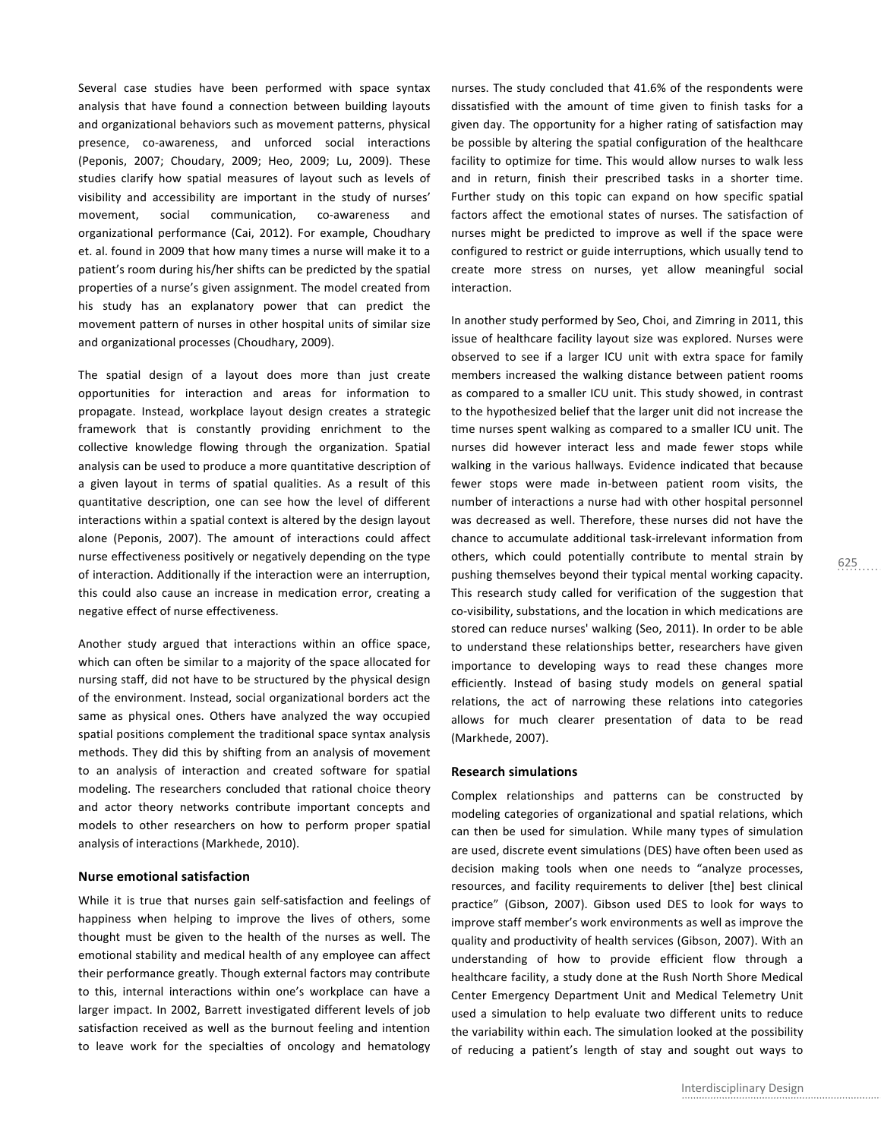Several case studies have been performed with space syntax analysis that have found a connection between building layouts and organizational behaviors such as movement patterns, physical presence, co-awareness, and unforced social interactions (Peponis, 2007; Choudary, 2009; Heo, 2009; Lu, 2009). These studies clarify how spatial measures of layout such as levels of visibility and accessibility are important in the study of nurses' movement, social communication, co-awareness and organizational performance (Cai, 2012). For example, Choudhary et. al. found in 2009 that how many times a nurse will make it to a patient's room during his/her shifts can be predicted by the spatial properties of a nurse's given assignment. The model created from his study has an explanatory power that can predict the movement pattern of nurses in other hospital units of similar size and organizational processes (Choudhary, 2009).

The spatial design of a layout does more than just create opportunities for interaction and areas for information to propagate. Instead, workplace layout design creates a strategic framework that is constantly providing enrichment to the collective knowledge flowing through the organization. Spatial analysis can be used to produce a more quantitative description of a given layout in terms of spatial qualities. As a result of this quantitative description, one can see how the level of different interactions within a spatial context is altered by the design layout alone (Peponis, 2007). The amount of interactions could affect nurse effectiveness positively or negatively depending on the type of interaction. Additionally if the interaction were an interruption, this could also cause an increase in medication error, creating a negative effect of nurse effectiveness.

Another study argued that interactions within an office space, which can often be similar to a majority of the space allocated for nursing staff, did not have to be structured by the physical design of the environment. Instead, social organizational borders act the same as physical ones. Others have analyzed the way occupied spatial positions complement the traditional space syntax analysis methods. They did this by shifting from an analysis of movement to an analysis of interaction and created software for spatial modeling. The researchers concluded that rational choice theory and actor theory networks contribute important concepts and models to other researchers on how to perform proper spatial analysis of interactions (Markhede, 2010).

# **Nurse emotional satisfaction**

While it is true that nurses gain self-satisfaction and feelings of happiness when helping to improve the lives of others, some thought must be given to the health of the nurses as well. The emotional stability and medical health of any employee can affect their performance greatly. Though external factors may contribute to this, internal interactions within one's workplace can have a larger impact. In 2002, Barrett investigated different levels of job satisfaction received as well as the burnout feeling and intention to leave work for the specialties of oncology and hematology

nurses. The study concluded that 41.6% of the respondents were dissatisfied with the amount of time given to finish tasks for a given day. The opportunity for a higher rating of satisfaction may be possible by altering the spatial configuration of the healthcare facility to optimize for time. This would allow nurses to walk less and in return, finish their prescribed tasks in a shorter time. Further study on this topic can expand on how specific spatial factors affect the emotional states of nurses. The satisfaction of nurses might be predicted to improve as well if the space were configured to restrict or guide interruptions, which usually tend to create more stress on nurses, yet allow meaningful social interaction.

In another study performed by Seo, Choi, and Zimring in 2011, this issue of healthcare facility layout size was explored. Nurses were observed to see if a larger ICU unit with extra space for family members increased the walking distance between patient rooms as compared to a smaller ICU unit. This study showed, in contrast to the hypothesized belief that the larger unit did not increase the time nurses spent walking as compared to a smaller ICU unit. The nurses did however interact less and made fewer stops while walking in the various hallways. Evidence indicated that because fewer stops were made in-between patient room visits, the number of interactions a nurse had with other hospital personnel was decreased as well. Therefore, these nurses did not have the chance to accumulate additional task-irrelevant information from others, which could potentially contribute to mental strain by pushing themselves beyond their typical mental working capacity. This research study called for verification of the suggestion that co-visibility, substations, and the location in which medications are stored can reduce nurses' walking (Seo, 2011). In order to be able to understand these relationships better, researchers have given importance to developing ways to read these changes more efficiently. Instead of basing study models on general spatial relations, the act of narrowing these relations into categories allows for much clearer presentation of data to be read (Markhede, 2007). 

### **Research simulations**

Complex relationships and patterns can be constructed by modeling categories of organizational and spatial relations, which can then be used for simulation. While many types of simulation are used, discrete event simulations (DES) have often been used as decision making tools when one needs to "analyze processes, resources, and facility requirements to deliver [the] best clinical practice" (Gibson, 2007). Gibson used DES to look for ways to improve staff member's work environments as well as improve the quality and productivity of health services (Gibson, 2007). With an understanding of how to provide efficient flow through a healthcare facility, a study done at the Rush North Shore Medical Center Emergency Department Unit and Medical Telemetry Unit used a simulation to help evaluate two different units to reduce the variability within each. The simulation looked at the possibility of reducing a patient's length of stay and sought out ways to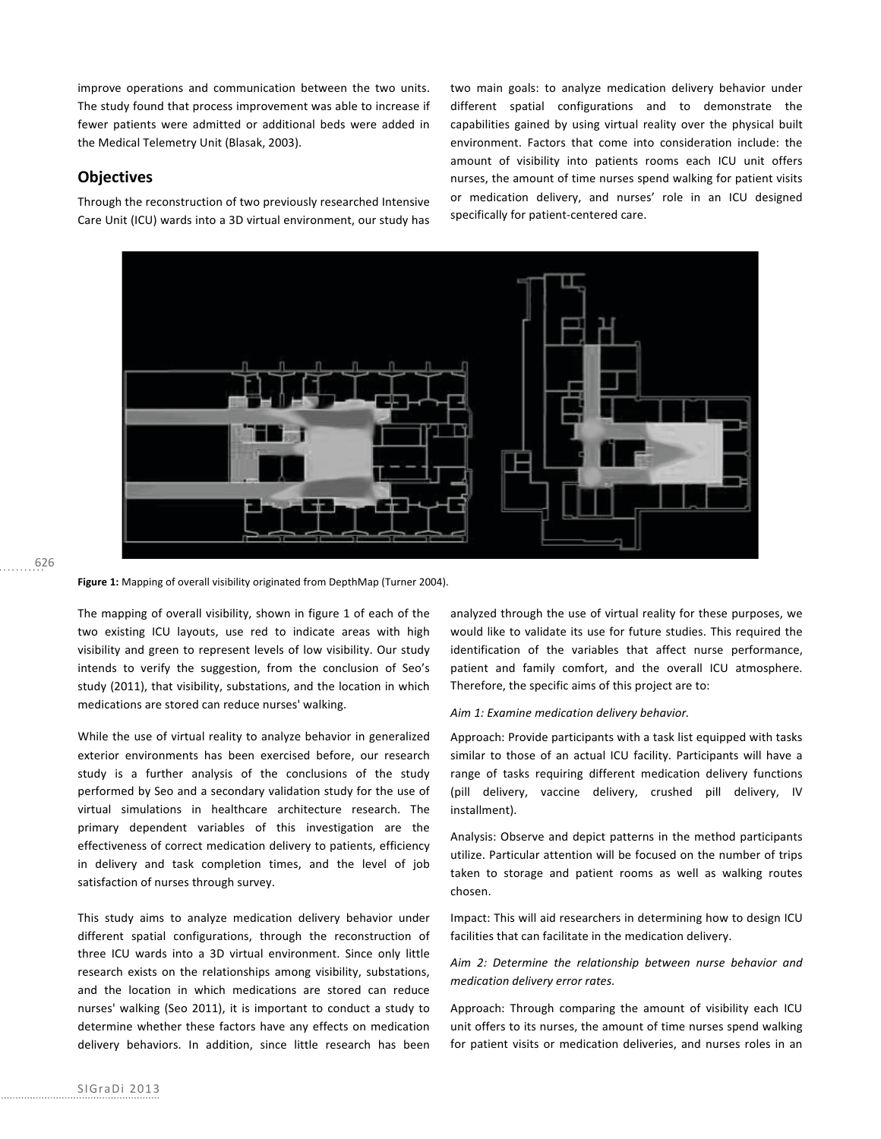improve operations and communication between the two units. The study found that process improvement was able to increase if fewer patients were admitted or additional beds were added in the Medical Telemetry Unit (Blasak, 2003).

# **Objectives**

Through the reconstruction of two previously researched Intensive Care Unit (ICU) wards into a 3D virtual environment, our study has two main goals: to analyze medication delivery behavior under different spatial configurations and to demonstrate the capabilities gained by using virtual reality over the physical built environment. Factors that come into consideration include: the amount of visibility into patients rooms each ICU unit offers nurses, the amount of time nurses spend walking for patient visits or medication delivery, and nurses' role in an ICU designed specifically for patient-centered care.



## 626

Figure 1: Mapping of overall visibility originated from DepthMap (Turner 2004).

The mapping of overall visibility, shown in figure 1 of each of the two existing ICU layouts, use red to indicate areas with high visibility and green to represent levels of low visibility. Our study intends to verify the suggestion, from the conclusion of Seo's study (2011), that visibility, substations, and the location in which medications are stored can reduce nurses' walking.

While the use of virtual reality to analyze behavior in generalized exterior environments has been exercised before, our research study is a further analysis of the conclusions of the study performed by Seo and a secondary validation study for the use of virtual simulations in healthcare architecture research. The primary dependent variables of this investigation are the effectiveness of correct medication delivery to patients, efficiency in delivery and task completion times, and the level of job satisfaction of nurses through survey.

This study aims to analyze medication delivery behavior under different spatial configurations, through the reconstruction of three ICU wards into a 3D virtual environment. Since only little research exists on the relationships among visibility, substations, and the location in which medications are stored can reduce nurses' walking (Seo 2011), it is important to conduct a study to determine whether these factors have any effects on medication delivery behaviors. In addition, since little research has been analyzed through the use of virtual reality for these purposes, we would like to validate its use for future studies. This required the identification of the variables that affect nurse performance, patient and family comfort, and the overall ICU atmosphere. Therefore, the specific aims of this project are to:

### Aim 1: Examine medication delivery behavior.

Approach: Provide participants with a task list equipped with tasks similar to those of an actual ICU facility. Participants will have a range of tasks requiring different medication delivery functions (pill delivery, vaccine delivery, crushed pill delivery, IV installment).

Analysis: Observe and depict patterns in the method participants utilize. Particular attention will be focused on the number of trips taken to storage and patient rooms as well as walking routes chosen.

Impact: This will aid researchers in determining how to design ICU facilities that can facilitate in the medication delivery.

# Aim 2: Determine the relationship between nurse behavior and medication delivery error rates.

Approach: Through comparing the amount of visibility each ICU unit offers to its nurses, the amount of time nurses spend walking for patient visits or medication deliveries, and nurses roles in an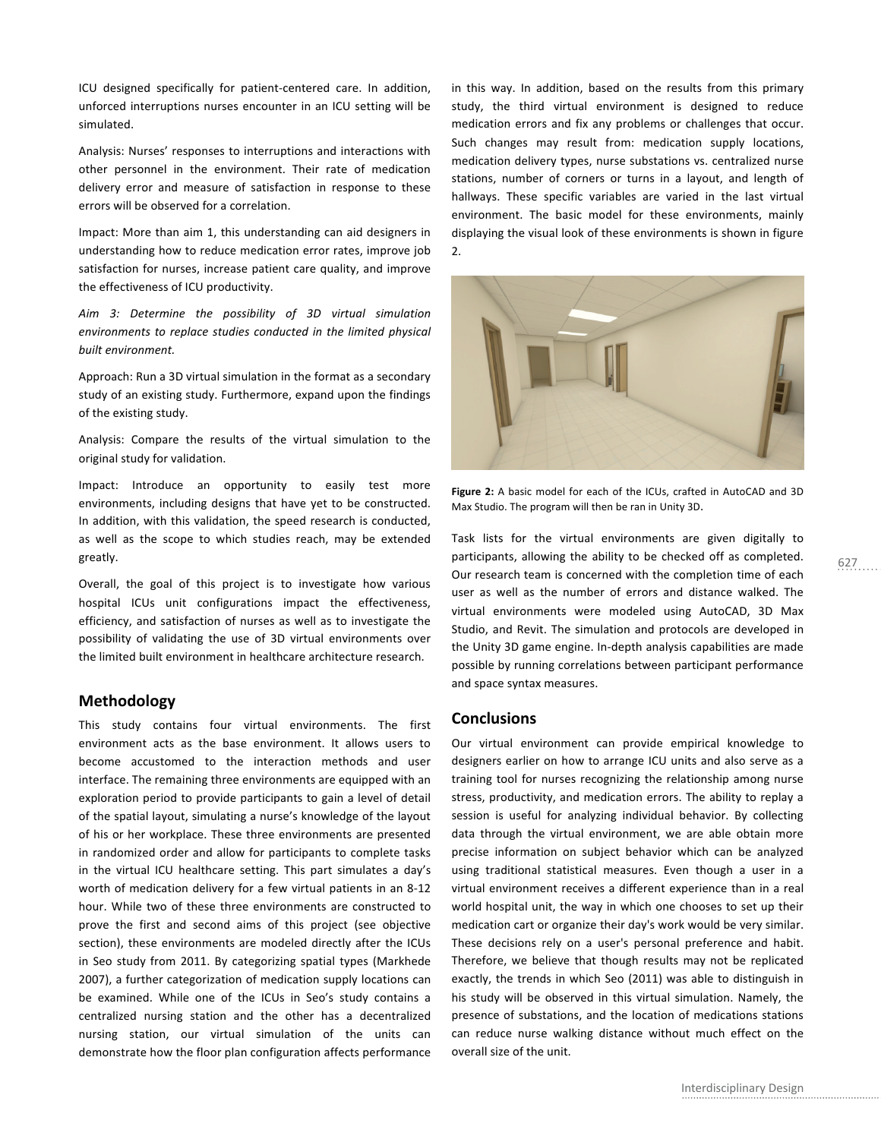ICU designed specifically for patient-centered care. In addition, unforced interruptions nurses encounter in an ICU setting will be simulated.

Analysis: Nurses' responses to interruptions and interactions with other personnel in the environment. Their rate of medication delivery error and measure of satisfaction in response to these errors will be observed for a correlation.

Impact: More than aim 1, this understanding can aid designers in understanding how to reduce medication error rates, improve job satisfaction for nurses, increase patient care quality, and improve the effectiveness of ICU productivity.

Aim 3: Determine the possibility of 3D virtual simulation environments to replace studies conducted in the limited physical built environment.

Approach: Run a 3D virtual simulation in the format as a secondary study of an existing study. Furthermore, expand upon the findings of the existing study.

Analysis: Compare the results of the virtual simulation to the original study for validation.

Impact: Introduce an opportunity to easily test more environments, including designs that have yet to be constructed. In addition, with this validation, the speed research is conducted, as well as the scope to which studies reach, may be extended greatly.

Overall, the goal of this project is to investigate how various hospital ICUs unit configurations impact the effectiveness, efficiency, and satisfaction of nurses as well as to investigate the possibility of validating the use of 3D virtual environments over the limited built environment in healthcare architecture research.

# **Methodology**

This study contains four virtual environments. The first environment acts as the base environment. It allows users to become accustomed to the interaction methods and user interface. The remaining three environments are equipped with an exploration period to provide participants to gain a level of detail of the spatial layout, simulating a nurse's knowledge of the layout of his or her workplace. These three environments are presented in randomized order and allow for participants to complete tasks in the virtual ICU healthcare setting. This part simulates a day's worth of medication delivery for a few virtual patients in an 8-12 hour. While two of these three environments are constructed to prove the first and second aims of this project (see objective section), these environments are modeled directly after the ICUs in Seo study from 2011. By categorizing spatial types (Markhede 2007), a further categorization of medication supply locations can be examined. While one of the ICUs in Seo's study contains a centralized nursing station and the other has a decentralized nursing station, our virtual simulation of the units can demonstrate how the floor plan configuration affects performance

in this way. In addition, based on the results from this primary study, the third virtual environment is designed to reduce medication errors and fix any problems or challenges that occur. Such changes may result from: medication supply locations, medication delivery types, nurse substations vs. centralized nurse stations, number of corners or turns in a layout, and length of hallways. These specific variables are varied in the last virtual environment. The basic model for these environments, mainly displaying the visual look of these environments is shown in figure 2.



Figure 2: A basic model for each of the ICUs, crafted in AutoCAD and 3D Max Studio. The program will then be ran in Unity 3D.

Task lists for the virtual environments are given digitally to participants, allowing the ability to be checked off as completed. Our research team is concerned with the completion time of each user as well as the number of errors and distance walked. The virtual environments were modeled using AutoCAD, 3D Max Studio, and Revit. The simulation and protocols are developed in the Unity 3D game engine. In-depth analysis capabilities are made possible by running correlations between participant performance and space syntax measures.

# **Conclusions**

Our virtual environment can provide empirical knowledge to designers earlier on how to arrange ICU units and also serve as a training tool for nurses recognizing the relationship among nurse stress, productivity, and medication errors. The ability to replay a session is useful for analyzing individual behavior. By collecting data through the virtual environment, we are able obtain more precise information on subject behavior which can be analyzed using traditional statistical measures. Even though a user in a virtual environment receives a different experience than in a real world hospital unit, the way in which one chooses to set up their medication cart or organize their day's work would be very similar. These decisions rely on a user's personal preference and habit. Therefore, we believe that though results may not be replicated exactly, the trends in which Seo (2011) was able to distinguish in his study will be observed in this virtual simulation. Namely, the presence of substations, and the location of medications stations can reduce nurse walking distance without much effect on the overall size of the unit.